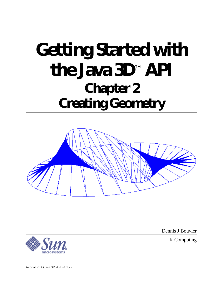# **Getting Started with the Java 3D**™  **API Chapter 2 Creating Geometry**



Dennis J Bouvier

K Computing

tutorial v1.4 (Java 3D API v1.1.2)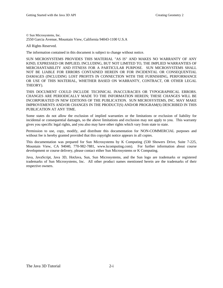© Sun Microsystems, Inc. 2550 Garcia Avenue, Mountain View, California 94043-1100 U.S.A

All Rights Reserved.

The information contained in this document is subject to change without notice.

SUN MICROSYSTEMS PROVIDES THIS MATERIAL "AS IS" AND MAKES NO WARRANTY OF ANY KIND, EXPRESSED OR IMPLIED, INCLUDING, BUT NOT LIMITED TO, THE IMPLIED WARRANTIES OF MERCHANTABILITY AND FITNESS FOR A PARTICULAR PURPOSE. SUN MICROSYSTEMS SHALL NOT BE LIABLE FOR ERRORS CONTAINED HEREIN OR FOR INCIDENTAL OR CONSEQUENTIAL DAMAGES (INCLUDING LOST PROFITS IN CONNECTION WITH THE FURNISHING, PERFORMANCE OR USE OF THIS MATERIAL, WHETHER BASED ON WARRANTY, CONTRACT, OR OTHER LEGAL THEORY).

THIS DOCUMENT COULD INCLUDE TECHNICAL INACCURACIES OR TYPOGRAPHICAL ERRORS. CHANGES ARE PERIODICALLY MADE TO THE INFORMATION HEREIN; THESE CHANGES WILL BE INCORPORATED IN NEW EDITIONS OF THE PUBLICATION. SUN MICROSYSTEMS, INC. MAY MAKE IMPROVEMENTS AND/OR CHANGES IN THE PRODUCT(S) AND/OR PROGRAM(S) DESCRIBED IN THIS PUBLICATION AT ANY TIME.

Some states do not allow the exclusion of implied warranties or the limitations or exclusion of liability for incidental or consequential damages, so the above limitations and exclusion may not apply to you. This warranty gives you specific legal rights, and you also may have other rights which vary from state to state.

Permission to use, copy, modify, and distribute this documentation for NON-COMMERCIAL purposes and without fee is hereby granted provided that this copyright notice appears in all copies.

This documentation was prepared for Sun Microsystems by K Computing (530 Showers Drive, Suite 7-225, Mountain View, CA 94040, 770-982-7881, www.kcomputing.com). For further information about course development or course delivery, please contact either Sun Microsystems or K Computing.

Java, JavaScript, Java 3D, HotJava, Sun, Sun Microsystems, and the Sun logo are trademarks or registered trademarks of Sun Microsystems, Inc. All other product names mentioned herein are the trademarks of their respective owners.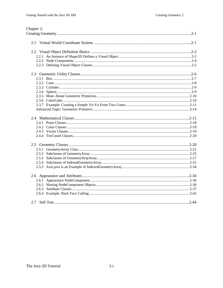### Chapter 2: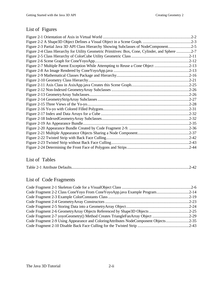# List of Figures

| Figure 2-3 Partial Java 3D API Class Hierarchy Showing Subclasses of NodeComponent2-5            |  |
|--------------------------------------------------------------------------------------------------|--|
| Figure 2-4 Class Hierarchy for Utility Geometric Primitives: Box, Cone, Cylinder, and Sphere 2-7 |  |
|                                                                                                  |  |
|                                                                                                  |  |
| Figure 2-7 Multiple Parent Exception While Attempting to Reuse a Cone Object 2-13                |  |
|                                                                                                  |  |
|                                                                                                  |  |
|                                                                                                  |  |
|                                                                                                  |  |
|                                                                                                  |  |
|                                                                                                  |  |
|                                                                                                  |  |
|                                                                                                  |  |
|                                                                                                  |  |
|                                                                                                  |  |
|                                                                                                  |  |
|                                                                                                  |  |
|                                                                                                  |  |
|                                                                                                  |  |
|                                                                                                  |  |
|                                                                                                  |  |
|                                                                                                  |  |

### List of Tables

|--|

# List of Code Fragments

| Code Fragment 2-2 Class Cone Yoyo From Cone Yoyo App.java Example Program2-14       |
|-------------------------------------------------------------------------------------|
|                                                                                     |
|                                                                                     |
|                                                                                     |
| Code Fragment 2-6 Geometry Array Objects Referenced by Shape 3D Objects 2-25        |
| Code Fragment 2-7 yoyoGeometry() Method Creates TriangleFanArray Object 2-29        |
| Code Fragment 2-9 Using Appearance and ColoringAttributes NodeComponent Objects2-35 |
|                                                                                     |
|                                                                                     |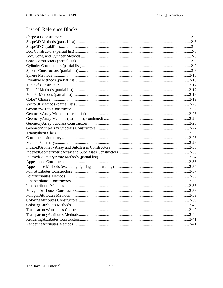# List of Reference Blocks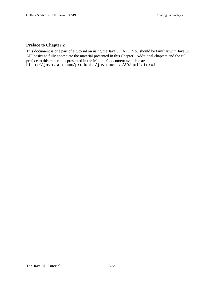### **Preface to Chapter 2**

This document is one part of a tutorial on using the Java 3D API. You should be familiar with Java 3D API basics to fully appreciate the material presented in this Chapter. Additional chapters and the full preface to this material is presented in the Module 0 document available at: http://java.sun.com/products/java-media/3D/collateral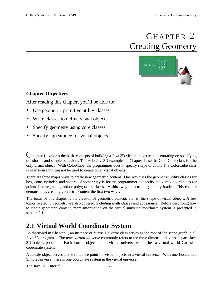# CHAPTER 2 Creating Geometry



### <span id="page-6-1"></span>**Chapter Objectives**

After reading this chapter, you'll be able to:

- Use geometric primitive utility classes
- <span id="page-6-0"></span>• Write classes to define visual objects
- Specify geometry using core classes
- Specify appearance for visual objects

C hapter 1 explores the basic concepts of building a Java 3D virtual universe, concentrating on specifying transforms and simple behaviors. The HelloJava3D examples in Chapter 1 use the ColorCube class for the only visual object. With ColorCube, the programmer doesn't specify shape or color. The ColorCube class is easy to use but can not be used to create other visual objects.

There are three major ways to create new geometric content. One way uses the geometric utility classes for box, cone, cylinder, and sphere. Another way is for the programmer to specify the vertex coordinates for points, line segments, and/or polygonal surfaces. A third way is to use a geometry loader. This chapter demonstrates creating geometric content the first two ways.

The focus of this chapter is the creation of geometric content, that is, the shape of visual objects. A few topics related to geometry are also covered, including math classes and appearance. Before describing how to create geometric content, more information on the virtual universe coordinate system is presented in section 2.1.

# **2.1 Virtual World Coordinate System**

As discussed in Chapter 1, an instance of VirtualUniverse class serves as the root of the scene graph in all Java 3D programs. The term *virtual universe* commonly refers to the three dimensional virtual space Java 3D objects populate. Each Locale object in the virtual universe establishes a virtual world Cartesian coordinate system.

A Locale object serves as the reference point for visual objects in a virtual universe. With one Locale in a SimpleUniverse, there is one coordinate system in the virtual universe.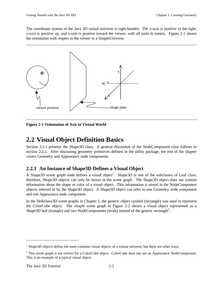<span id="page-7-0"></span>The coordinate system of the Java 3D virtual universe is right-handed. The x-axis is positive to the right, y-axis is positive up, and z-axis is positive toward the viewer, with all units in meters. Figure 2-1 shows the orientation with respect to the viewer in a SimpleUniverse.



**Figure 2-1 Orientation of Axis in Virtual World**

# **2.2 Visual Object Definition Basics**

Section 2.2.1 presents the Shape3D class. A general discussion of the NodeComponent class follows in section 2.2.2. After discussing geometry primitives defined in the utility package, the rest of the chapter covers Geometry and Appearance node components.

### **2.2.1 An Instance of Shape3D Defines a Visual Object**

A Shape3D scene graph node defines a visual object<sup>1</sup>. Shape3D is one of the subclasses of Leaf class; therefore, Shape3D objects can only be leaves in the scene graph. The Shape3D object does not contain information about the shape or color of a visual object. This information is stored in the NodeComponent objects referred to by the Shape3D object. A Shape3D object can refer to one Geometry node component and one Appearance node component.

In the HelloJava3D scene graphs in Chapter 1, the generic object symbol (rectangle) was used to represent the ColorCube object. The simple scene graph in Figure 2-2 shows a visual object represented as a Shape3D leaf (triangle) and two NodeComponents (ovals) instead of the generic rectangle<sup>2</sup>.

 $\overline{a}$ 

 $<sup>1</sup>$  Shape3D objects define the most common visual objects of a virtual universe, but there are other ways.</sup>

 $2$  This scene graph is not correct for a ColorCube object. ColorCube does not use an Appearance NodeComponent. This is an example of a typical visual object.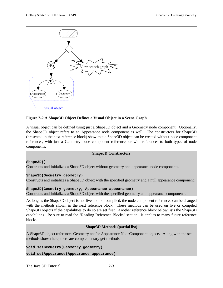

### **Figure 2-2 A Shape3D Object Defines a Visual Object in a Scene Graph.**

A visual object can be defined using just a Shape3D object and a Geometry node component. Optionally, the Shape3D object refers to an Appearance node component as well. The constructors for Shape3D (presented in the next reference block) show that a Shape3D object can be created without node component references, with just a Geometry node component reference, or with references to both types of node components.

### **Shape3D Constructors**

#### **Shape3D()**

Constructs and initializes a Shape3D object without geometry and appearance node components.

#### **Shape3D(Geometry geometry)**

Constructs and initializes a Shape3D object with the specified geometry and a null appearance component.

```
Shape3D(Geometry geometry, Appearance appearance)
Constructs and initializes a Shape3D object with the specified geometry and appearance components.
```
As long as the Shape3D object is not live and not compiled, the node component references can be changed with the methods shown in the next reference block. These methods can be used on live or compiled Shape3D objects if the capabilities to do so are set first. Another reference block below lists the Shape3D capabilities. Be sure to read the "Reading Reference Blocks" section. It applies to many future reference blocks.

#### **Shape3D Methods (partial list)**

A Shape3D object references Geometry and/or Appearance NodeComponent objects. Along with the setmethods shown here, there are complementary get-methods.

```
void setGeometry(Geometry geometry)
void setAppearance(Appearance appearance)
```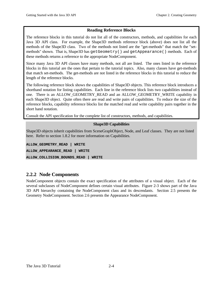### **Reading Reference Blocks**

<span id="page-9-0"></span>The reference blocks in this tutorial do not list all of the constructors, methods, and capabilities for each Java 3D API class. For example, the Shape3D methods reference block (above) does not list all the methods of the Shape3D class. Two of the methods not listed are the "get-methods" that match the "setmethods" shown. That is, Shape3D has getGeometry() and getAppearance() methods. Each of these methods returns a reference to the appropriate NodeComponent.

Since many Java 3D API classes have many methods, not all are listed. The ones listed in the reference blocks in this tutorial are the ones that pertain to the tutorial topics. Also, many classes have get-methods that match set-methods. The get-methods are not listed in the reference blocks in this tutorial to reduce the length of the reference blocks.

The following reference block shows the capabilities of Shape3D objects. This reference block introduces a shorthand notation for listing capabilities. Each line in the reference block lists two capabilities instead of one. There is an ALLOW\_GEOMETRY\_READ and an ALLOW\_GEOMETRY\_WRITE capability in each Shape3D object. Quite often there are read and write pairs of capabilities. To reduce the size of the reference blocks, capability reference blocks list the matched read and write capability pairs together in the short hand notation.

Consult the API specification for the complete list of constructors, methods, and capabilities.

### **Shape3D Capabilities**

Shape3D objects inherit capabilities from SceneGraphObject, Node, and Leaf classes. They are not listed here. Refer to section 1.8.2 for more information on Capabilities.

```
ALLOW_GEOMETRY_READ | WRITE
ALLOW_APPEARANCE_READ | WRITE
ALLOW_COLLISION_BOUNDS_READ | WRITE
```
### **2.2.2 Node Components**

NodeComponent objects contain the exact specification of the attributes of a visual object. Each of the several subclasses of NodeComponent defines certain visual attributes. Figure 2-3 shows part of the Java 3D API hierarchy containing the NodeComponent class and its descendants. Section 2.5 presents the Geometry NodeComponent. Section 2.6 presents the Appearance NodeComponent.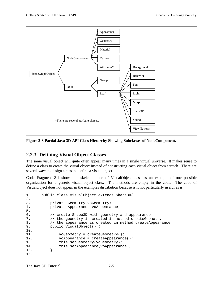<span id="page-10-0"></span>

**Figure 2-3 Partial Java 3D API Class Hierarchy Showing Subclasses of NodeComponent.**

### **2.2.3 Defining Visual Object Classes**

The same visual object will quite often appear many times in a single virtual universe. It makes sense to define a class to create the visual object instead of constructing each visual object from scratch. There are several ways to design a class to define a visual object.

Code Fragment 2-1 shows the skeleton code of VisualObject class as an example of one possible organization for a generic visual object class. The methods are empty in the code. The code of VisualObject does not appear in the examples distribution because is it not particularly useful as is.

```
1. public class VisualObject extends Shape3D{
2.
3. private Geometry voGeometry;
4. private Appearance voAppearance;
5.
6. // create Shape3D with geometry and appearance
7. // the geometry is created in method createGeometry
8. // the appearance is created in method createAppearance
9. public VisualObject() {
10.
11. voGeometry = createGeometry();
12. voAppearance = createAppearance();<br>13. this.setGeometry(voGeometry);
              this.setGeometry(voGeometry);
14. this.setAppearance(voAppearance);<br>15. }
15. }
16.
```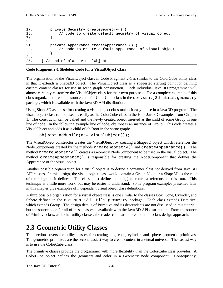```
17. private Geometry createGeometry() {
18. // code to create default geometry of visual object
19. }
20.
21. private Appearance createAppearance () {
22. // code to create default appearance of visual object
23. }
24.
25. } // end of class VisualObject
```
#### **Code Fragment 2-1 Skeleton Code for a VisualObject Class**

The organization of the VisualObject class in Code Fragment 2-1 is similar to the ColorCube utility class in that it extends a Shape3D object. The VisualObject class is a suggested starting point for defining custom content classes for use in scene graph construction. Each individual Java 3D programmer will almost certainly customize the VisualObject class for their own purposes. For a complete example of this class organization, read the source code for ColorCube class in the com.sun.j3d.utils.geometry package, which is available with the Java 3D API distribution.

Using Shape3D as a base for creating a visual object class makes it easy to use in a Java 3D program. The visual object class can be used as easily as the ColorCube class in the HelloJava3D examples from Chapter 1. The constructor can be called and the newly created object inserted as the child of some Group in one line of code. In the following example line of code, objRoot is an instance of Group. This code creates a VisualObject and adds it as a child of objRoot in the scene graph:

objRoot.addChild(new VisualObject());

The VisualObject constructor creates the VisualObject by creating a Shape3D object which references the NodeComponents created by the methods createGeometry() and createAppearance(). The method createGeometry() creates a Geometry NodeComponent to be used in the visual object. The method createAppearance() is responsible for creating the NodeComponent that defines the Appearance of the visual object.

Another possible organization for a visual object is to define a container class not derived from Java 3D API classes. In this design, the visual object class would contain a Group Node or a Shape3D as the root of the subgraph it defines. The class must define method(s) to return a reference to this root. This technique is a little more work, but may be easier to understand. Some program examples presented later in this chapter give examples of independent visual object class definitions.

A third possible organization for a visual object class is one similar to the classes Box, Cone, Cylinder, and Sphere defined in the com.sun.j3d.utils.geometry package. Each class extends Primitive, which extends Group. The design details of Primitive and its descendants are not discussed in this tutorial, but the source code for all of these classes is available with the Java 3D API distribution. From the source of Primitive class, and other utility classes, the reader can learn more about this class design approach.

# **2.3 Geometric Utility Classes**

This section covers the utility classes for creating box, cone, cylinder, and sphere geometric primitives. The geometric primitives are the second easiest way to create content in a virtual universe. The easiest way is to use the ColorCube class.

The primitive classes provide the programmer with more flexibility than the ColorCube class provides. A ColorCube object defines the geometry and color in a Geometry node component. Consequently,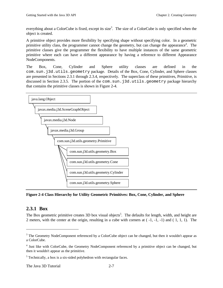everything about a ColorCube is fixed, except its size<sup>3</sup>. The size of a ColorCube is only specified when the object is created.

A primitive object provides more flexibility by specifying shape without specifying color. In a geometric primitive utility class, the programmer cannot change the geometry, but can change the appearance<sup>4</sup>. The primitive classes give the programmer the flexibility to have multiple instances of the same geometric primitive where each can have a different appearance by having a reference to different Appearance NodeComponents.

The Box, Cone, Cylinder and Sphere utility classes are defined in the com.sun.j3d.utils.geometry package. Details of the Box, Cone, Cylinder, and Sphere classes are presented in Sections 2.3.1 through 2.3.4, respectively. The superclass of these primitives, Primitive, is discussed in Section 2.3.5. The portion of the com.sun.j3d.utils.geometry package hierarchy that contains the primitive classes is shown in Figure 2-4.



**Figure 2-4 Class Hierarchy for Utility Geometric Primitives: Box, Cone, Cylinder, and Sphere**

### **2.3.1 Box**

 $\overline{a}$ 

The Box geometric primitive creates 3D box visual objects<sup>5</sup>. The defaults for length, width, and height are 2 meters, with the center at the origin, resulting in a cube with corners at ( -1, -1, -1) and ( 1, 1, 1). The

<sup>&</sup>lt;sup>3</sup> The Geometry NodeComponent referenced by a ColorCube object can be changed, but then it wouldn't appear as a ColorCube.

<sup>&</sup>lt;sup>4</sup> Just like with ColorCube, the Geometry NodeComponent referenced by a primitive object can be changed, but then it wouldn't appear as the primitive.

 $<sup>5</sup>$  Technically, a box is a six-sided polyhedron with rectangular faces.</sup>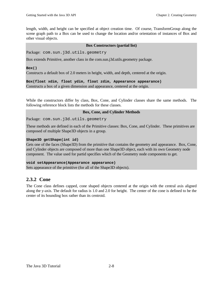length, width, and height can be specified at object creation time. Of course, TransformGroup along the scene graph path to a Box can be used to change the location and/or orientation of instances of Box and other visual objects.

#### **Box Constructors (partial list)**

Package: com.sun.j3d.utils.geometry

Box extends Primitive, another class in the com.sun.j3d.utils.geometry package.

**Box()**

Constructs a default box of 2.0 meters in height, width, and depth, centered at the origin.

**Box(float xdim, float ydim, float zdim, Appearance appearance)**

Constructs a box of a given dimension and appearance, centered at the origin.

While the constructors differ by class, Box, Cone, and Cylinder classes share the same methods. The following reference block lists the methods for these classes.

### **Box, Cone, and Cylinder Methods**

Package: com.sun.j3d.utils.geometry

These methods are defined in each of the Primitive classes: Box, Cone, and Cylinder. These primitives are composed of multiple Shape3D objects in a group.

### **Shape3D getShape(int id)**

Gets one of the faces (Shape3D) from the primitive that contains the geometry and appearance. Box, Cone, and Cylinder objects are composed of more than one Shape3D object, each with its own Geometry node component. The value used for partid specifies which of the Geometry node components to get.

**void setAppearance(Appearance appearance)** Sets appearance of the primitive (for all of the Shape3D objects).

### **2.3.2 Cone**

The Cone class defines capped, cone shaped objects centered at the origin with the central axis aligned along the y-axis. The default for radius is 1.0 and 2.0 for height. The center of the cone is defined to be the center of its bounding box rather than its centroid.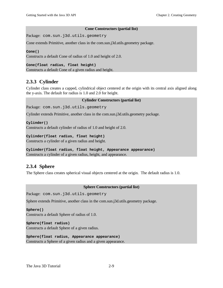### **Cone Constructors (partial list)**

Package: com.sun.j3d.utils.geometry

Cone extends Primitive, another class in the com.sun.j3d.utils.geometry package.

```
Cone()
```
Constructs a default Cone of radius of 1.0 and height of 2.0.

### **Cone(float radius, float height)**

Constructs a default Cone of a given radius and height.

### **2.3.3 Cylinder**

Cylinder class creates a capped, cylindrical object centered at the origin with its central axis aligned along the y-axis. The default for radius is 1.0 and 2.0 for height.

### **Cylinder Constructors (partial list)**

Package: com.sun.j3d.utils.geometry

Cylinder extends Primitive, another class in the com.sun.j3d.utils.geometry package.

**Cylinder()**

Constructs a default cylinder of radius of 1.0 and height of 2.0.

### **Cylinder(float radius, float height)**

Constructs a cylinder of a given radius and height.

**Cylinder(float radius, float height, Appearance appearance)** Constructs a cylinder of a given radius, height, and appearance.

### **2.3.4 Sphere**

The Sphere class creates spherical visual objects centered at the origin. The default radius is 1.0.

### **Sphere Constructors (partial list)**

Package: com.sun.j3d.utils.geometry

Sphere extends Primitive, another class in the com.sun.j3d.utils.geometry package.

**Sphere()** Constructs a default Sphere of radius of 1.0.

**Sphere(float radius)** Constructs a default Sphere of a given radius.

```
Sphere(float radius, Appearance appearance)
Constructs a Sphere of a given radius and a given appearance.
```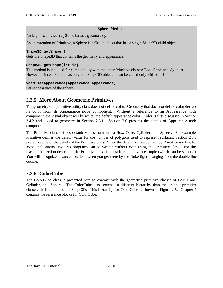### **Sphere Methods**

Package: com.sun.j3d.utils.geometry

As an extention of Primitive, a Sphere is a Group object that has a single Shape3D child object.

#### **Shape3D getShape()**

Gets the Shape3D that contains the geometry and appearance.

### **Shape3D getShape(int id)**

This method is included for compatibility with the other Primitive classes: Box, Cone, and Cylinder. However, since a Sphere has only one Shape3D object, it can be called only with  $id = 1$ .

### **void setAppearance(Appearance appearance)**

Sets appearance of the sphere.

### **2.3.5 More About Geometric Primitives**

The geometry of a primitive utility class does not define color. Geometry that does not define color derives its color from its Appearance node component. Without a reference to an Appearance node component, the visual object will be white, the default appearance color. Color is first discussed in Section 2.4.2 and added to geometry in Section 2.5.1. Section 2.6 presents the details of Appearance node components.

The Primitive class defines default values common to Box, Cone, Cylinder, and Sphere. For example, Primitive defines the default value for the number of polygons used to represent surfaces. Section 2.3.8 presents some of the details of the Primitive class. Since the default values defined by Primitive are fine for most applications, Java 3D programs can be written without even using the Primitive class. For this reason, the section describing the Primitive class is considered an advanced topic (which can be skipped). You will recognize advanced sections when you get there by the Duke figure hanging from the double-line outline.

### **2.3.6 ColorCube**

The ColorCube class is presented here to contrast with the geometric primitive classes of Box, Cone, Cylinder, and Sphere. The ColorCube class extends a different hierarchy than the graphic primitive classes. It is a subclass of Shape3D. This hierarchy for ColorCube is shown in Figure 2-5. Chapter 1 contains the reference blocks for ColorCube.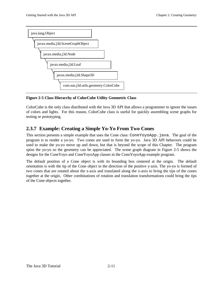

### **Figure 2-5 Class Hierarchy of ColorCube Utility Geometric Class**

ColorCube is the only class distributed with the Java 3D API that allows a programmer to ignore the issues of colors and lights. For this reason, ColorCube class is useful for quickly assembling scene graphs for testing or prototyping.

### **2.3.7 Example: Creating a Simple Yo-Yo From Two Cones**

This section presents a simple example that uses the Cone class: ConeYoyoApp.java. The goal of the program is to render a yo-yo. Two cones are used to form the yo-yo. Java 3D API behaviors could be used to make the yo-yo move up and down, but that is beyond the scope of this Chapter. The program spins the yo-yo so the geometry can be appreciated. The scene graph diagram in Figure 2-5 shows the designs for the ConeYoyo and ConeYoyoApp classes in the ConoYoyoApp example program.

The default position of a Cone object is with its bounding box centered at the origin. The default orientation is with the tip of the Cone object in the direction of the positive y-axis. The yo-yo is formed of two cones that are rotated about the z-axis and translated along the x-axis to bring the tips of the cones together at the origin. Other combinations of rotation and translation transformations could bring the tips of the Cone objects together.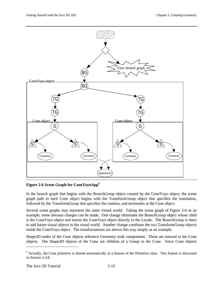

**Figure 2-6 Scene Graph for ConeYoyoApp<sup>6</sup>**

In the branch graph that begins with the BranchGroup object created by the ConeYoyo object, the scene graph path to each Cone object begins with the TransformGroup object that specifies the translation, followed by the TransformGroup that specifies the rotation, and terminates at the Cone object.

Several scene graphs may represent the same virtual world. Taking the scene graph of Figure 2-6 as an example, some obvious changes can be made. One change eliminates the BranchGroup object whose child is the ConeYoyo object and inserts the ConeYoyo object directly in the Locale. The BranchGroup is there to add future visual objects to the visual world. Another change combines the two TransformGroup objects inside the ConeYoyo object. The transformations are shown this way simply as an example.

Shape3D nodes of the Cone objects reference Geometry node components. These are internal to the Cone objects. The Shape3D objects of the Cone are children of a Group in the Cone. Since Cone objects

 $\overline{a}$ 

<sup>&</sup>lt;sup>6</sup> Actually, the Cone primitive is shared automatically as a feature of the Primitive class. This feature is discussed in Section 2.3.8.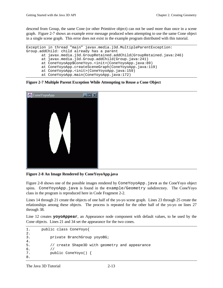descend from Group, the same Cone (or other Primitive object) can not be used more than once in a scene graph. Figure 2-7 shows an example error message produced when attempting to use the same Cone object in a single scene graph. This error does not exist in the example program distributed with this tutorial.

```
Exception in thread "main" javax.media.j3d.MultipleParentException:
Group.addChild: child already has a parent
        at javax.media.j3d.GroupRetained.addChild(GroupRetained.java:246)
        at javax.media.j3d.Group.addChild(Group.java:241)
        at ConeYoyoApp$ConeYoyo.<init>(ConeYoyoApp.java:89)
        at ConeYoyoApp.createSceneGraph(ConeYoyoApp.java:119)
        at ConeYoyoApp.<init>(ConeYoyoApp.java:159)
        at ConeYoyoApp.main(ConeYoyoApp.java:172)
```
**Figure 2-7 Multiple Parent Exception While Attempting to Reuse a Cone Object**



**Figure 2-8 An Image Rendered by ConeYoyoApp.java**

Figure 2-8 shows one of the possible images rendered by ConeYoyoApp. java as the ConeYoyo object spins. ConeYoyoApp.java is found in the example/Geometry subdirectory. The ConeYoyo class in the program is reproduced here in Code Fragment 2-2.

Lines 14 through 21 create the objects of one half of the yo-yo scene graph. Lines 23 through 25 create the relationships among these objects. The process is repeated for the other half of the yo-yo on lines 27 through 38.

Line 12 creates **yoyoAppear**, an Appearance node component with default values, to be used by the Cone objects. Lines 21 and 34 set the appearance for the two cones.

```
1. public class ConeYoyo{
2.
3. private BranchGroup yoyoBG;
4.
5. // create Shape3D with geometry and appearance
6. / /7. public ConeYoyo() {
8.
```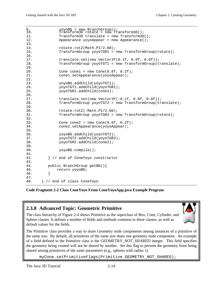```
9. yoyoBG = new BranchGroup();
10. Transform3D rotate = new Transform3D();
11. Transform3D translate = new Transform3D();
12. Appearance yoyoAppear = new Appearance();
13.
14. rotate.rotZ(Math.PI/2.0d);<br>15. TransformGroup yoyoTGR1 =
              TransformGroup yoyoTGR1 = new TransformGroup(rotate);
16.
17. translate.set(new Vector3f(0.1f, 0.0f, 0.0f));<br>18. TransformGroup vovoTGT1 = new TransformGroup(t
              TransformGroup yoyoTGT1 = new TransformGroup(translate);
\frac{19}{20}.
              Cone cone1 = new Cone(0.6f, 0.2f);
21. cone1.setAppearance(yoyoAppear);
22.23. yoyoBG.addChild(yoyoTGT1);
24. voyoTGT1.addChild(yoyoTGR1);
25. yoyoTGR1.addChild(cone1);
26.
27. translate.set(new Vector3f(-0.1f, 0.0f, 0.0f));
28. TransformGroup yoyoTGT2 = new TransformGroup(translate);
29.
30. rotate.rotZ(-Math.PI/2.0d);
31. TransformGroup yoyoTGR2 = new TransformGroup(rotate);
32.
33. Cone cone2 = new Cone(0.6f, 0.2f);
34. cone2.setAppearance(yoyoAppear);
35.
36. yoyoBG.addChild(yoyoTGT2);
37. yoyoTGT2.addChild(yoyoTGR2);
38. yoyoTGR2.addChild(cone2);
39.40.40. yoyoBG.compile();
41.
42. } // end of ConeYoyo constructor
43.
44. public BranchGroup getBG(){
45. return yoyoBG;
46. }
47.
48. } // end of class ConeYoyo
```
**Code Fragment 2-2 Class ConeYoyo From ConeYoyoApp.java Example Program**

### **2.3.8 Advanced Topic: Geometric Primitive**

The class hierarchy of Figure 2-4 shows Primitive as the superclass of Box, Cone, Cylinder, and Sphere classes. It defines a number of fields and methods common to these classes, as well as default values for the fields.



The Primitive class provides a way to share Geometry node components among instances of a primitive of the same size. By default, all primitives of the same size share one geometry node component. An example of a field defined in the Primitive class is the GEOMETRY\_NOT\_SHARED integer. This field specifies the geometry being created will not be shared by another. Set this flag to prevent the geometry from being shared among primitives of the same parameters (e.g., spheres with radius 1).

myCone.setPrimitiveFlags(Primitive.GEOMETRY\_NOT\_SHARED);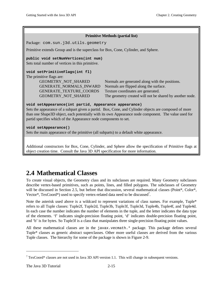<span id="page-20-0"></span>

| <b>Primitive Methods (partial list)</b>                                                               |                                                          |  |
|-------------------------------------------------------------------------------------------------------|----------------------------------------------------------|--|
| Package: com.sun.j3d.utils.geometry                                                                   |                                                          |  |
| Primitive extends Group and is the superclass for Box, Cone, Cylinder, and Sphere.                    |                                                          |  |
| public void setNumVertices(int num)                                                                   |                                                          |  |
| Sets total number of vertices in this primitive.                                                      |                                                          |  |
| void setPrimitiveFlags(int fl)                                                                        |                                                          |  |
| The primitive flags are:                                                                              |                                                          |  |
| GEOMETRY_NOT_SHARED                                                                                   | Normals are generated along with the positions.          |  |
| GENERATE_NORMALS_INWARD                                                                               | Normals are flipped along the surface.                   |  |
| <b>GENERATE TEXTURE COORDS</b>                                                                        | Texture coordinates are generated.                       |  |
| GEOMETRY_NOT_SHARED                                                                                   | The geometry created will not be shared by another node. |  |
| void setAppearance(int partid, Appearance appearance)                                                 |                                                          |  |
| Sets the appearance of a subpart given a partid. Box, Cone, and Cylinder objects are composed of more |                                                          |  |
| than one Shape3D object, each potentially with its own Appearance node component. The value used for  |                                                          |  |
| partid specifies which of the Appearance node components to set.                                      |                                                          |  |
| void setAppearance()                                                                                  |                                                          |  |
| Sets the main appearance of the primitive (all subparts) to a default white appearance.               |                                                          |  |

Additional constructors for Box, Cone, Cylinder, and Sphere allow the specification of Primitive flags at object creation time. Consult the Java 3D API specification for more information.

# **2.4 Mathematical Classes**

To create visual objects, the Geometry class and its subclasses are required. Many Geometry subclasses describe vertex-based primitives, such as points, lines, and filled polygons. The subclasses of Geometry will be discussed in Section 2.5, but before that discussion, several mathematical classes (Point\*, Color\*, Vector\*, TexCoord\*) used to specify vertex-related data need to be discussed<sup>7</sup>.

Note the asterisk used above is a wildcard to represent variations of class names. For example, Tuple\* refers to all Tuple classes: Tuple2f, Tuple2d, Tuple3b, Tuple3f, Tuple3d, Tuple4b, Tuple4f, and Tuple4d. In each case the number indicates the number of elements in the tuple, and the letter indicates the data type of the elements. 'f' indicates single-precision floating point, 'd' indicates double-precision floating point, and 'b' is for bytes. So Tuple3f is a class that manipulates three single-precision floating point values.

All these mathematical classes are in the javax.vecmath.\* package. This package defines several Tuple\* classes as generic abstract superclasses. Other more useful classes are derived from the various Tuple classes. The hierarchy for some of the package is shown in Figure 2-9.

 $\overline{a}$ 

 $7$  TexCoord\* classes are not used in Java 3D API version 1.1. This will change in subsequent versions.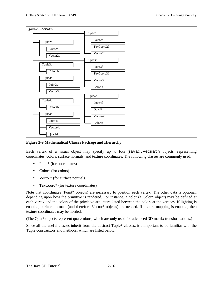

**Figure 2-9 Mathematical Classes Package and Hierarchy**

Each vertex of a visual object may specify up to four javax.vecmath objects, representing coordinates, colors, surface normals, and texture coordinates. The following classes are commonly used:

- Point<sup>\*</sup> (for coordinates)
- Color<sup>\*</sup> (for colors)
- Vector<sup>\*</sup> (for surface normals)
- TexCoord\* (for texture coordinates)

Note that coordinates (Point\* objects) are necessary to position each vertex. The other data is optional, depending upon how the primitive is rendered. For instance, a color (a Color\* object) may be defined at each vertex and the colors of the primitive are interpolated between the colors at the vertices. If lighting is enabled, surface normals (and therefore Vector\* objects) are needed. If texture mapping is enabled, then texture coordinates may be needed.

(The Quat\* objects represent quaternions, which are only used for advanced 3D matrix transformations.)

Since all the useful classes inherit from the abstract Tuple\* classes, it's important to be familiar with the Tuple constructors and methods, which are listed below.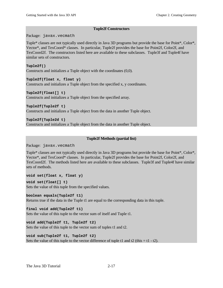### **Tuple2f Constructors**

Package: javax.vecmath

Tuple\* classes are not typically used directly in Java 3D programs but provide the base for Point\*, Color\*, Vector\*, and TexCoord\* classes. In particular, Tuple2f provides the base for Point2f, Color2f, and TexCoord2f. The constructors listed here are available to these subclasses. Tuple3f and Tuple4f have similar sets of constructors.

### **Tuple2f()**

Constructs and initializes a Tuple object with the coordinates (0,0).

### **Tuple2f(float x, float y)**

Constructs and initializes a Tuple object from the specified x, y coordinates.

### **Tuple2f(float[] t)**

Constructs and initializes a Tuple object from the specified array.

### **Tuple2f(Tuple2f t)**

Constructs and initializes a Tuple object from the data in another Tuple object.

### **Tuple2f(Tuple2d t)** Constructs and initializes a Tuple object from the data in another Tuple object.

### **Tuple2f Methods (partial list)**

Package: javax.vecmath

Tuple\* classes are not typically used directly in Java 3D programs but provide the base for Point\*, Color\*, Vector\*, and TexCoord\* classes. In particular, Tuple2f provides the base for Point2f, Color2f, and TexCoord2f. The methods listed here are available to these subclasses. Tuple3f and Tuple4f have similar sets of methods.

#### **void set(float x, float y)**

**void set(float[] t)** Sets the value of this tuple from the specified values.

#### **boolean equals(Tuple2f t1)**

Returns true if the data in the Tuple t1 are equal to the corresponding data in this tuple.

#### **final void add(Tuple2f t1)**

Sets the value of this tuple to the vector sum of itself and Tuple t1.

### **void add(Tuple2f t1, Tuple2f t2)**

Sets the value of this tuple to the vector sum of tuples t1 and t2.

### **void sub(Tuple2f t1, Tuple2f t2)**

Sets the value of this tuple to the vector difference of tuple t1 and t2 (this  $= t1 - t2$ ).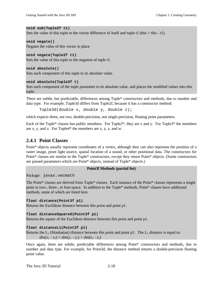### **void sub(Tuple2f t1)**

Sets the value of this tuple to the vector difference of itself and tuple t1 (this  $=$  this  $-$  t1).

### **void negate()**

Negates the value of this vector in place.

### **void negate(Tuple2f t1)**

Sets the value of this tuple to the negation of tuple t1.

### **void absolute()**

Sets each component of this tuple to its absolute value.

### **void absolute(Tuple2f t)**

Sets each component of the tuple parameter to its absolute value, and places the modified values into this tuple.

There are subtle, but predictable, differences among Tuple\* constructors and methods, due to number and data type. For example, Tuple3d differs from Tuple2f, because it has a constructor method:

```
Tuple3d(double x, double y, double z);
```
which expects three, not two, double-precision, not single-precision, floating point parameters.

Each of the Tuple\* classes has public members. For Tuple2\*, they are x and y. For Tuple3\* the members are x, y, and z. For Tuple4\* the members are x, y, z, and w.

### **2.4.1 Point Classes**

Point\* objects usually represent coordinates of a vertex, although they can also represent the position of a raster image, point light source, spatial location of a sound, or other positional data. The constructors for Point\* classes are similar to the Tuple\* constructors, except they return Point\* objects. (Some constructors are passed parameters which are Point\* objects, instead of Tuple\* objects.)

#### **Point3f Methods (partial list)**

Package: javax.vecmath

The Point\* classes are derived from Tuple\* classes. Each instance of the Point\* classes represents a single point in two-, three-, or four-space. In addition to the Tuple\* methods, Point\* classes have additional methods, some of which are listed here.

#### **float distance(Point3f p1)**

Returns the Euclidean distance between this point and point p1.

#### **float distanceSquared(Point3f p1)**

Returns the square of the Euclidean distance between this point and point p1.

### **float distanceL1(Point3f p1)**

Returns the  $L_1$  (Manhattan) distance between this point and point p1. The  $L_1$  distance is equal to:

 $abs(x_1 - x_2) + abs(y_1 - y_2) + abs(z_1 - z_2)$ 

Once again, there are subtle, predictable differences among Point\* constructors and methods, due to number and data type. For example, for Point3d, the distance method returns a double-precision floating point value.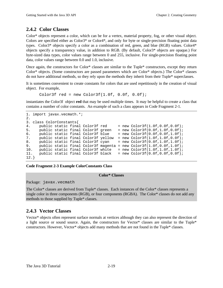### **2.4.2 Color Classes**

Color\* objects represent a color, which can be for a vertex, material property, fog, or other visual object. Colors are specified either as Color3\* or Color4\*, and only for byte or single-precision floating point data types. Color3\* objects specify a color as a combination of red, green, and blue (RGB) values. Color4\* objects specify a transparency value, in addition to RGB. (By default, Color3\* objects are opaque.) For byte-sized data types, color values range between 0 and 255, inclusive. For single-precision floating point data, color values range between 0.0 and 1.0, inclusive.

Once again, the constructors for Color\* classes are similar to the Tuple\* constructors, except they return Color\* objects. (Some constructors are passed parameters which are Color\* objects.) The Color\* classes do not have additional methods, so they rely upon the methods they inherit from their Tuple\* superclasses.

It is sometimes convenient to create constants for colors that are used repetitiously in the creation of visual object. For example,

Color3f red = new Color3f $(1.0f, 0.0f, 0.0f)$ ;

instantiates the Color3f object **red** that may be used multiple times. It may be helpful to create a class that contains a number of color constants. An example of such a class appears in Code Fragment 2-1.

```
1. import javax.vecmath.*;
2.3. class ColorConstants{
4. public static final Color3f red = new Color3f(1.0f,0.0f,0.0f);
5. public static final Color3f green = new Color3f(0.0f,1.0f,0.0f);
6. public static final Color3f blue = new Color3f(0.0f,0.0f,1.0f);
7. public static final Color3f yellow = new Color3f(1.0f,1.0f,0.0f);
8. public static final Color3f cyan = new Color3f(0.0f,1.0f,1.0f);
9. public static final Color3f magenta = new Color3f(1.0f,0.0f,1.0f);
10. public static final Color3f white = new Color3f(1.0f,1.0f,1.0f);
11. public static final Color3f black = new Color3f(0.0f,0.0f,0.0f);
12.}
```
**Code Fragment 2-3 Example ColorConstants Class**

#### **Color\* Classes**

Package: javax.vecmath

The Color\* classes are derived from Tuple\* classes. Each instances of the Color\* classes represents a single color in three components (RGB), or four components (RGBA). The Color\* classes do not add any methods to those supplied by Tuple\* classes.

### **2.4.3 Vector Classes**

Vector\* objects often represent surface normals at vertices although they can also represent the direction of a light source or sound source. Again, the constructors for Vector\* classes are similar to the Tuple\* constructors. However, Vector\* objects add many methods that are not found in the Tuple\* classes.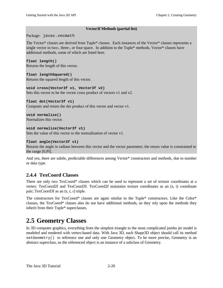### **Vector3f Methods (partial list)**

<span id="page-25-0"></span>Package: javax.vecmath

The Vector\* classes are derived from Tuple\* classes. Each instances of the Vector\* classes represents a single vector in two-, three-, or four-space. In addition to the Tuple\* methods, Vector\* classes have additional methods, some of which are listed here.

### **float length()**

Returns the length of this vector.

### **float lengthSquared()**

Returns the squared length of this vector.

### **void cross(Vector3f v1, Vector3f v2)**

Sets this vector to be the vector cross product of vectors v1 and v2.

### **float dot(Vector3f v1)**

Computer and return the dot product of this vector and vector v1.

**void normalize()** Normalizes this vector.

### **void normalize(Vector3f v1)**

Sets the value of this vector to the normalization of vector v1.

### **float angle(Vector3f v1)**

Returns the angle in radians between this vector and the vector parameter; the return value is constrained to the range [0,PI].

And yes, there are subtle, predictable differences among Vector\* constructors and methods, due to number or data type.

### **2.4.4 TexCoord Classes**

There are only two TexCoord\* classes which can be used to represent a set of texture coordinates at a vertex: TexCoord2f and TexCoord3f. TexCoord2f maintains texture coordinates as an (s, t) coordinate pair; TexCoord3f as an (s, t, r) triple.

The constructors for TexCoord\* classes are again similar to the Tuple\* constructors. Like the Color\* classes, the TexCoord\* classes also do not have additional methods, so they rely upon the methods they inherit from their Tuple\* superclasses.

# **2.5 Geometry Classes**

In 3D computer graphics, everything from the simplest triangle to the most complicated jumbo jet model is modeled and rendered with vertex-based data. With Java 3D, each Shape3D object should call its method setGeometry() to reference one and only one Geometry object. To be more precise, Geometry is an abstract superclass, so the referenced object is an instance of a subclass of Geometry.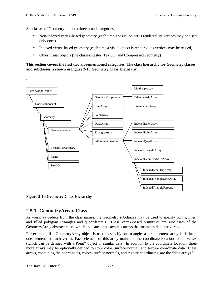.

Subclasses of Geometry fall into three broad categories:

- Non-indexed vertex-based geometry (each time a visual object is rendered, its vertices may be used only once)
- Indexed vertex-based geometry (each time a visual object is rendered, its vertices may be reused)
- Other visual objects (the classes Raster, Text3D, and CompressedGeometry)

### **This section covers the first two aforementioned categories. The class hierarchy for Geometry classes and subclasses is shown in Figure 2-10 Geometry Class Hierarchy**



**Figure 2-10 Geometry Class Hierarchy**

### **2.5.1 GeometryArray Class**

As you may deduce from the class names, the Geometry subclasses may be used to specify points, lines, and filled polygons (triangles and quadrilaterals). These vertex-based primitives are subclasses of the GeometryArray abstract class, which indicates that each has arrays that maintain data per vertex.

For example, if a GeometryArray object is used to specify one triangle, a three-element array is defined: one element for each vertex. Each element of this array maintains the coordinate location for its vertex (which can be defined with a Point\* object or similar data). In addition to the coordinate location, three more arrays may be optionally defined to store color, surface normal, and texture coordinate data. These arrays, containing the coordinates, colors, surface normals, and texture coordinates, are the "data arrays."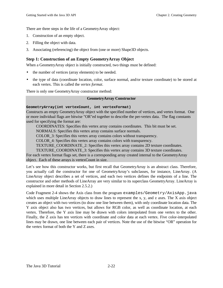There are three steps in the life of a GeometryArray object:

- 1. Construction of an empty object.
- 2. Filling the object with data.
- 3. Associating (referencing) the object from (one or more) Shape3D objects.

### **Step 1: Construction of an Empty GeometryArray Object**

When a GeometryArray object is initially constructed, two things must be defined:

- the number of vertices (array elements) to be needed.
- the type of data (coordinate location, color, surface normal, and/or texture coordinate) to be stored at each vertex. This is called the *vertex format*.

There is only one GeometryArray constructor method:

### **GeometryArray Constructor**

### **GeometryArray(int vertexCount, int vertexFormat)**

Constructs an empty GeometryArray object with the specified number of vertices, and vertex format. One or more individual flags are bitwise "OR"ed together to describe the per-vertex data. The flag constants used for specifying the format are:

COORDINATES: Specifies this vertex array contains coordinates. This bit must be set.

NORMALS: Specifies this vertex array contains surface normals.

COLOR\_3: Specifies this vertex array contains colors without transparency.

COLOR\_4: Specifies this vertex array contains colors with transparency.

TEXTURE\_COORDINATE\_2: Specifies this vertex array contains 2D texture coordinates.

TEXTURE\_COORDINATE\_3: Specifies this vertex array contains 3D texture coordinates.

For each vertex format flags set, there is a corresponding array created internal to the GeometryArray object. Each of these arrays is vertexCount in size.

Let's see how this constructor works, but first recall that GeometryArray is an abstract class. Therefore, you actually call the constructor for one of GeometryArray's subclasses, for instance, LineArray. (A LineArray object describes a set of vertices, and each two vertices defines the endpoints of a line. The constructor and other methods of LineArray are very similar to its superclass GeometryArray. LineArray is explained in more detail in Section 2.5.2.)

Code Fragment 2-4 shows the Axis class from the program examples/Geometry/AxisApp.java which uses multiple LineArray objects to draw lines to represent the x, y, and z axes. The X axis object creates an object with two vertices (to draw one line between them), with only coordinate location data. The Y axis object also has two vertices, but allows for RGB color, as well as coordinate location, at each vertex. Therefore, the Y axis line may be drawn with colors interpolated from one vertex to the other. Finally, the Z axis has ten vertices with coordinate and color data at each vertex. Five color-interpolated lines may be drawn, one line between each pair of vertices. Note the use of the bitwise "OR" operation for the vertex format of both the Y and Z axes.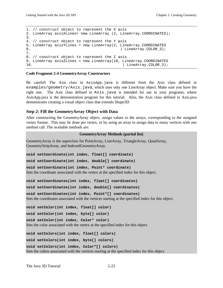```
1. // construct object to represent the X axis
2. LineArray axisXLines= new LineArray (2, LineArray.COORDINATES);
3.
4. // construct object to represent the Y axis
5. LineArray axisYLines = new LineArray(2, LineArray.COORDINATES
6. | LineArray.COLOR_3);
7.
8. // construct object to represent the Z axis
9. LineArray axisZLines = new LineArray(10, LineArray.COORDINATES
10. | LineArray.COLOR 3);
```
#### **Code Fragment 2-4 GeometryArray Constructors**

Be careful! The Axis class in AxisApp.java is different from the Axis class defined in examples/geometry/Axis.java, which uses only one LineArray object. Make sure you have the right one. The Axis class defined in Axis.java is intended for use in your programs, where AxisApp.java is the demonstration program for this tutorial. Also, the Axis class defined in Axis.java demonstrates creating a visual object class that extends Shape3D.

#### **Step 2: Fill the GeometryArray Object with Data**

After constructing the GeometryArray object, assign values to the arrays, corresponding to the assigned vertex format. This may be done per vertex, or by using an array to assign data to many vertices with one method call. The available methods are:

#### **GeometryArray Methods (partial list)**

GeometryArray is the superclass for PointArray, LineArray, TriangleArray, QuadArray, GeometryStripArray, and IndexedGeometryArray.

**void setCoordinate(int index, float[] coordinate)**

**void setCoordinate(int index, double[] coordinate)**

```
void setCoordinate(int index, Point* coordinate)
Sets the coordinate associated with the vertex at the specified index for this object.
```
**void setCoordinates(int index, float[] coordinates)**

**void setCoordinates(int index, double[] coordinates)**

```
void setCoordinates(int index, Point*[] coordinates)
```
Sets the coordinates associated with the vertices starting at the specified index for this object.

**void setColor(int index, float[] color)**

**void setColor(int index, byte[] color)**

**void setColor(int index, Color\* color)**

Sets the color associated with the vertex at the specified index for this object.

**void setColors(int index, float[] colors) void setColors(int index, byte[] colors) void setColors(int index, Color\*[] colors)** Sets the colors associated with the vertices starting at the specified index for this object.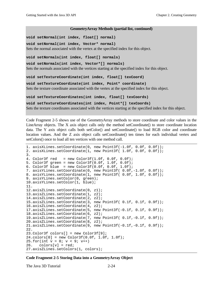#### **GeometryArray Methods (partial list, continued)**

**void setNormal(int index, float[] normal)**

**void setNormal(int index, Vector\* normal)** Sets the normal associated with the vertex at the specified index for this object.

**void setNormals(int index, float[] normals)**

**void setNormals(int index, Vector\*[] normals)** Sets the normals associated with the vertices starting at the specified index for this object.

**void setTextureCoordinate(int index, float[] texCoord)**

**void setTextureCoordinate(int index, Point\* coordinate)** Sets the texture coordinate associated with the vertex at the specified index for this object.

**void setTextureCoordinates(int index, float[] texCoords)**

**void setTextureCoordinates(int index, Point\*[] texCoords)**

Sets the texture coordinates associated with the vertices starting at the specified index for this object.

Code Fragment 2-5 shows use of the GeometryArray methods to store coordinate and color values in the LineArray objects. The X axis object calls only the method setCoordinate() to store coordinate location data. The Y axis object calls both setColor() and setCoordinate() to load RGB color and coordinate location values. And the Z axis object calls setCoordinate() ten times for each individual vertex and setColors() once to load all ten vertices with one method call.

```
1. axisXLines.setCoordinate(0, new Point3f(-1.0f, 0.0f, 0.0f));
2. axisXLines.setCoordinate(1, new Point3f( 1.0f, 0.0f, 0.0f));
3.
4. Color3f red = new Color3f(1.0f, 0.0f, 0.0f);
5. Color3f green = new Color3f(0.0f, 1.0f, 0.0f);
6. Color3f blue = new Color3f(0.0f, 0.0f, 1.0f);
7. axisYLines.setCoordinate(0, new Point3f( 0.0f,-1.0f, 0.0f));
8. axisYLines.setCoordinate(1, new Point3f( 0.0f, 1.0f, 0.0f));
9. axisYLines.setColor(0, green);
10.axisYLines.setColor(1, blue);
11.
12.axisZLines.setCoordinate(0, z1);
13.axisZLines.setCoordinate(1, z2);
14.axisZLines.setCoordinate(2, z2);
15.axisZLines.setCoordinate(3, new Point3f( 0.1f, 0.1f, 0.9f));
16.axisZLines.setCoordinate(4, z2);
17.axisZLines.setCoordinate(5, new Point3f(-0.1f, 0.1f, 0.9f));
18.axisZLines.setCoordinate(6, z2);
19.axisZLines.setCoordinate(7, new Point3f( 0.1f,-0.1f, 0.9f));
20.axisZLines.setCoordinate(8, z2);
21.axisZLines.setCoordinate(9, new Point3f(-0.1f,-0.1f, 0.9f));
22.
23.Color3f colors[] = new Color3f[9];
24.colors[0] = new Color3f(0.0f, 1.0f, 1.0f);
25.for(int v = 0; v < 9; v_{++})
26. \quad \text{colors}[v] = \text{red};27.axisZLines.setColors(1, colors);
```
**Code Fragment 2-5 Storing Data into a GeometryArray Object**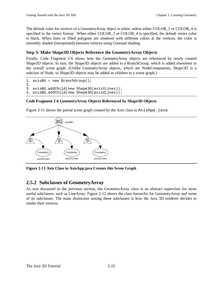The default color for vertices of a GeometryArray object is white, unless either COLOR\_3 or COLOR\_4 is specified in the vertex format. When either COLOR\_3 or COLOR\_4 is specified, the default vertex color is black. When lines or filled polygons are rendered with different colors at the vertices, the color is smoothly shaded (interpolated) between vertices using Gouraud shading.

### **Step 3: Make Shape3D Objects Reference the GeometryArray Objects**

Finally, Code Fragment 2-6 shows how the GeometryArray objects are referenced by newly created Shape3D objects. In turn, the Shape3D objects are added to a BranchGroup, which is added elsewhere to the overall scene graph. (Unlike GeometryArray objects, which are NodeComponents, Shape3D is a subclass of Node, so Shape3D objects may be added as children to a scene graph.)

```
1. axisBG = new BranchGroup();
2.
3. axisBG.addChild(new Shape3D(axisYLines));
4. axisBG.addChild(new Shape3D(axisZLines));
```
### **Code Fragment 2-6 GeometryArray Objects Referenced by Shape3D Objects**

Figure 2-11 shows the partial scene graph created by the Axis class in  $Axi$  s  $Apsi$ . java.



**Figure 2-11 Axis Class in AxisApp.java Creates this Scene Graph**

### **2.5.2 Subclasses of GeometryArray**

As was discussed in the previous section, the GeometryArray class is an abstract superclass for more useful subclasses, such as LineArray. Figure 2-12 shows the class hierarchy for GeometryArray and some of its subclasses. The main distinction among these subclasses is how the Java 3D renderer decides to render their vertices.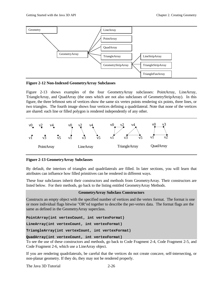

**Figure 2-12 Non-Indexed GeometryArray Subclasses**

Figure 2-13 shows examples of the four GeometryArray subclasses: PointArray, LineArray, TriangleArray, and QuadArray (the ones which are not also subclasses of GeometryStripArray). In this figure, the three leftmost sets of vertices show the same six vertex points rendering six points, three lines, or two triangles. The fourth image shows four vertices defining a quadrilateral. Note that none of the vertices are shared: each line or filled polygon is rendered independently of any other.



**Figure 2-13 GeometryArray Subclasses**

By default, the interiors of triangles and quadrilaterals are filled. In later sections, you will learn that attributes can influence how filled primitives can be rendered in different ways.

These four subclasses inherit their constructors and methods from GeometryArray. Their constructors are listed below. For their methods, go back to the listing entitled GeometryArray Methods.

### **GeometryArray Subclass Constructors**

Constructs an empty object with the specified number of vertices and the vertex format. The format is one or more individual flags bitwise "OR"ed together to describe the per-vertex data. The format flags are the same as defined in the GeometryArray superclass.

**PointArray(int vertexCount, int vertexFormat)**

**LineArray(int vertexCount, int vertexFormat)**

**TriangleArray(int vertexCount, int vertexFormat)**

### **QuadArray(int vertexCount, int vertexFormat)**

To see the use of these constructors and methods, go back to Code Fragment 2-4, Code Fragment 2-5, and Code Fragment 2-6, which use a LineArray object.

If you are rendering quadrilaterals, be careful that the vertices do not create concave, self-intersecting, or non-planar geometry. If they do, they may not be rendered properly.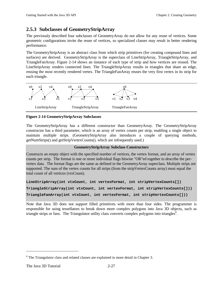### **2.5.3 Subclasses of GeometryStripArray**

The previously described four subclasses of GeometryArray do not allow for any reuse of vertices. Some geometric configurations invite the reuse of vertices, so specialized classes may result in better rendering performance.

The GeometryStripArray is an abstract class from which strip primitives (for creating compound lines and surfaces) are derived. GeometryStripArray is the superclass of LineStripArray, TriangleStripArray, and TriangleFanArray. Figure 2-14 shows an instance of each type of strip and how vertices are reused. The LineStripArray renders connected lines. The TriangleStripArray results in triangles that share an edge, reusing the most recently rendered vertex. The TriangleFanArray reuses the very first vertex in its strip for each triangle.



### **Figure 2-14 GeometryStripArray Subclasses**

The GeometryStripArray has a different constructor than GeometryArray. The GeometryStripArray constructor has a third parameter, which is an array of vertex counts per strip, enabling a single object to maintain multiple strips. (GeometryStripArray also introduces a couple of querying methods, getNumStrips() and getStripVertexCounts(), which are infrequently used.)

### **GeometryStripArray Subclass Constructors**

Constructs an empty object with the specified number of vertices, the vertex format, and an array of vertex counts per strip. The format is one or more individual flags bitwise "OR"ed together to describe the pervertex data. The format flags are the same as defined in the GeometryArray superclass. Multiple strips are supported. The sum of the vertex counts for all strips (from the stripVertexCounts array) must equal the total count of all vertices (vtxCount).

**LineStripArray(int vtxCount, int vertexFormat, int stripVertexCounts[]) TriangleStripArray(int vtxCount, int vertexFormat, int stripVertexCounts[])) TriangleFanArray(int vtxCount, int vertexFormat, int stripVertexCounts[]))**

Note that Java 3D does not support filled primitives with more than four sides. The programmer is responsible for using tessellators to break down more complex polygons into Java 3D objects, such as triangle strips or fans. The Triangulator utility class converts complex polygons into triangles<sup>8</sup>.

 $\overline{a}$ 

 $8$  The Triangulator class and related classes are explained in more detail in Chapter 3.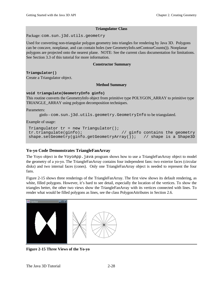### **Triangulator Class**

Package: com.sun.j3d.utils.geometry

Used for converting non-triangular polygon geometry into triangles for rendering by Java 3D. Polygons can be concave, nonplanar, and can contain holes (see GeometryInfo.setContourCounts()). Nonplanar polygons are projected onto the nearest plane. NOTE: See the current class documentation for limitations. See Section 3.3 of this tutorial for more information.

### **Constructor Summary**

**Triangulator()** Create a Triangulator object.

### **Method Summary**

#### **void triangulate(GeometryInfo ginfo)**

This routine converts the GeometryInfo object from primitive type POLYGON\_ARRAY to primitive type TRIANGLE\_ARRAY using polygon decomposition techniques.

Parameters:

ginfo - com.sun.j3d.utils.geometry.GeometryInfo to be triangulated.

Example of usage:

```
Triangulator tr = new Triangularor();
 tr.triangulate(ginfo); // ginfo contains the geometry
 shape.setGeometry(ginfo.getGeometryArray()); // shape is a Shape3D
```
### **Yo-yo Code Demonstrates TriangleFanArray**

The Yoyo object in the YoyoApp. java program shows how to use a TriangleFanArray object to model the geometry of a yo-yo. The TriangleFanArray contains four independent fans: two exterior faces (circular disks) and two internal faces (cones). Only one TriangleFanArray object is needed to represent the four fans.

Figure 2-15 shows three renderings of the TriangleFanArray. The first view shows its default rendering, as white, filled polygons. However, it's hard to see detail, especially the location of the vertices. To show the triangles better, the other two views show the TriangleFanArray with its vertices connected with lines. To render what would be filled polygons as lines, see the class PolygonAttributes in Section 2.6.



**Figure 2-15 Three Views of the Yo-yo**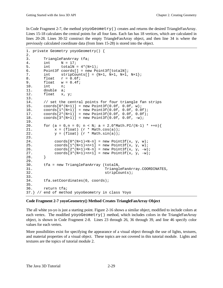In Code Fragment 2-7, the method yoyoGeometry () creates and returns the desired TriangleFanArray. Lines 15-18 calculates the central points for all four fans. Each fan has 18 vertices, which are calculated in lines 20-28. Lines 30-32 construct the empty TriangleFanArray object, and then line 34 is where the previously calculated coordinate data (from lines 15-28) is stored into the object.

```
1. private Geometry yoyoGeometry() {
2.3. TriangleFanArray tfa;
4. int N = 17;
5. int totalN = 4*(N+1);
6. Point3f coords[] = new Point3f[totalN];
7. int \text{stripCounts}[\ ] = \{N+1, N+1, N+1, N+1\};8. float r = 0.6f;
9. float w = 0.4f;
10. int n;
11. double a;
12. float x, y;
13.
14. // set the central points for four triangle fan strips
15. coords[0*(N+1)] = new Point3f(0.0f, 0.0f, w);
16. coords[1*(N+1)] = new Point3f(0.0f, 0.0f, 0.0f);
17. coords[2*(N+1)] = new Point3f(0.0f, 0.0f, 0.0f);
18. coords[3*(N+1)] = new Point3f(0.0f, 0.0f, -w);
19.
20. for (a = 0, n = 0; n < N; a = 2.0*Math.PI/(N-1) * ++n)21. x = (float) (r * Math.cos(a));
22. y = (float) (r * Math.sin(a));23.
24. coords[0*(N+1)+N-n] = new Point3f(x, y, w);
25. coords[1*(N+1)+n+1] = new Point3f(x, y, w);
26. coords[2*(N+1)+N-n] = new Point3f(x, y, -w);
27. coords[3*(N+1)+n+1] = new Point3f(x, y, -w);<br>28. }
28. }
29.
30. tfa = new TriangleFanArray (totalN,
31. TriangleFanArray.COORDINATES,
32. stripCounts);
33.
34. tfa.setCoordinates(0, coords);
35.
36. return tfa;
37.} // end of method yoyoGeometry in class Yoyo
```
### **Code Fragment 2-7 yoyoGeometry() Method Creates TriangleFanArray Object**

The all white yo-yo is just a starting point. Figure 2-16 shows a similar object, modified to include colors at each vertex. The modified yoyoGeometry() method, which includes colors in the TriangleFanArray object, is shown in Code Fragment 2-8. Lines 23 through 26, 36 through 39, and line 46 specify color values for each vertex.

More possibilities exist for specifying the appearance of a visual object through the use of lights, textures, and material properties of a visual object. These topics are not covered in this tutorial module. Lights and textures are the topics of tutorial module 2.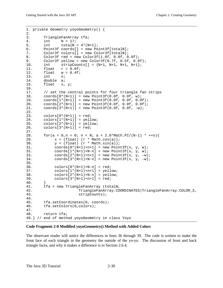```
1. private Geometry yoyoGeometry() {
2.
3. TriangleFanArray tfa;
4. int N = 17;
5. int totalN = 4*(N+1);
6. Point3f coords[] = new Point3f[totalN];
7. Color3f colors[] = new Color3f[totalN];
8. Color3f red = new Color3f(1.0f, 0.0f, 0.0f);
9. Color3f yellow = new Color3f(0.7f, 0.5f, 0.0f);
10. int stripCounts[] = {N+1, N+1, N+1};
11. float \t r = 0.6f;
12. float \t w = 0.4f;
13. int n;
14. double a;
15. float x, y;
16.
17. // set the central points for four triangle fan strips
18. coords[0*(N+1)] = new Point3f(0.0f, 0.0f, w);
19. coords[1*(N+1)] = new Point3f(0.0f, 0.0f, 0.0f);
20. coords[2*(N+1)] = new Point3f(0.0f, 0.0f, 0.0f);<br>21. coords[3*(N+1)] = new Point3f(0.0f, 0.0f, -w);
       coords[3*(N+1)] = new Point3f(0.0f, 0.0f, -w);22.
23. colors[0*(N+1)] = red;
24. colors[1*(N+1)] = yellow;25. colors[2*(N+1)] = yellow;
26. colors[3*(N+1)] = red;
27.
28. for(a = 0,n = 0; n < N; a = 2.0*Math.PI/(N-1) * ++n){
29. x = (float) (r * Math.cos(a));30. y = (float) (r * Math.sin(a));<br>31. coordinates[0*(N+1)+n+1] = new Pointcoords[0*(N+1)+n+1] = new Point3f(x, y, w);32. coords[1*(N+1)+N-n] = new Point3f(x, y, w);
33. coords[2*(N+1)+n+1] = new Point3f(x, y, -w);
34. coords[3*(N+1)+N-n] = new Point3f(x, y, -w);
35.
36. colors[0*(N+1)+N-n] = red;37. \text{colors}[1*(N+1)+n+1] = \text{yellow};38. \text{colors}[2*(N+1)+N-n] = \text{yellow};39. colors[3*(N+1)+n+1] = red;
\frac{40}{41}.
       41. tfa = new TriangleFanArray (totalN,
42. TriangleFanArray.COORDINATES|TriangleFanArray.COLOR_3,
43. stripCounts);
44.
45. tfa.setCoordinates(0, coords);
46. tfa.setColors(0,colors);
47.
48. return tfa;
49.} // end of method yoyoGeometry in class Yoyo
```
#### **Code Fragment 2-8 Modified yoyoGeometry() Method with Added Colors**

The observant reader will notice the differences in lines 36 through 39. The code is written to make the front face of each triangle in the geometry the outside of the yo-yo. The discussion of front and back triangle faces, and why it makes a difference is in Section 2.6.4.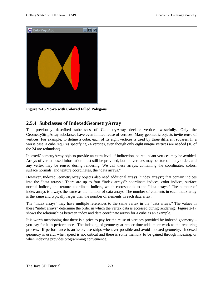

**Figure 2-16 Yo-yo with Colored Filled Polygons**

### **2.5.4 Subclasses of IndexedGeometryArray**

The previously described subclasses of GeometryArray declare vertices wastefully. Only the GeometryStripArray subclasses have even limited reuse of vertices. Many geometric objects invite reuse of vertices. For example, to define a cube, each of its eight vertices is used by three different squares. In a worse case, a cube requires specifying 24 vertices, even though only eight unique vertices are needed (16 of the 24 are redundant).

IndexedGeometryArray objects provide an extra level of indirection, so redundant vertices may be avoided. Arrays of vertex-based information must still be provided, but the vertices may be stored in any order, and any vertex may be reused during rendering. We call these arrays, containing the coordinates, colors, surface normals, and texture coordinates, the "data arrays."

However, IndexedGeometryArray objects also need additional arrays ("index arrays") that contain indices into the "data arrays." There are up to four "index arrays": coordinate indices, color indices, surface normal indices, and texture coordinate indices, which corresponds to the "data arrays." The number of index arrays is always the same as the number of data arrays. The number of elements in each index array is the same and typically larger than the number of elements in each data array.

The "index arrays" may have multiple references to the same vertex in the "data arrays." The values in these "index arrays" determine the order in which the vertex data is accessed during rendering. Figure 2-17 shows the relationships between index and data coordinate arrays for a cube as an example.

It is worth mentioning that there is a price to pay for the reuse of vertices provided by indexed geometry – you pay for it in performance. The indexing of geometry at render time adds more work to the rendering process. If performance is an issue, use strips whenever possible and avoid indexed geometry. Indexed geometry is useful when speed is not critical and there is some memory to be gained through indexing, or when indexing provides programming convenience.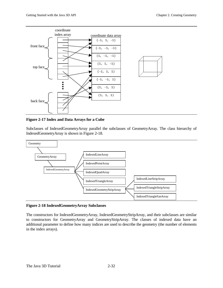

**Figure 2-17 Index and Data Arrays for a Cube**

Subclasses of IndexedGeometryArray parallel the subclasses of GeometryArray. The class hierarchy of IndexedGeometryArray is shown in Figure 2-18.



### **Figure 2-18 IndexedGeometryArray Subclasses**

The constructors for IndexedGeometryArray, IndexedGeometryStripArray, and their subclasses are similar to constructors for GeometryArray and GeometryStripArray. The classes of indexed data have an additional parameter to define how many indices are used to describe the geometry (the number of elements in the index arrays).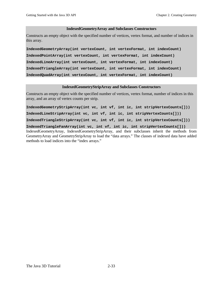#### **IndexedGeometryArray and Subclasses Constructors**

Constructs an empty object with the specified number of vertices, vertex format, and number of indices in this array.

**IndexedGeometryArray(int vertexCount, int vertexFormat, int indexCount) IndexedPointArray(int vertexCount, int vertexFormat, int indexCount) IndexedLineArray(int vertexCount, int vertexFormat, int indexCount) IndexedTriangleArray(int vertexCount, int vertexFormat, int indexCount) IndexedQuadArray(int vertexCount, int vertexFormat, int indexCount)**

#### **IndexedGeometryStripArray and Subclasses Constructors**

Constructs an empty object with the specified number of vertices, vertex format, number of indices in this array, and an array of vertex counts per strip.

**IndexedGeometryStripArray(int vc, int vf, int ic, int stripVertexCounts[])) IndexedLineStripArray(int vc, int vf, int ic, int stripVertexCounts[])) IndexedTriangleStripArray(int vc, int vf, int ic, int stripVertexCounts[])) IndexedTriangleFanArray(int vc, int vf, int ic, int stripVertexCounts[]))** IndexedGeometryArray, IndexedGeometryStripArray, and their subclasses inherit the methods from GeometryArray and GeometryStripArray to load the "data arrays." The classes of indexed data have added methods to load indices into the "index arrays."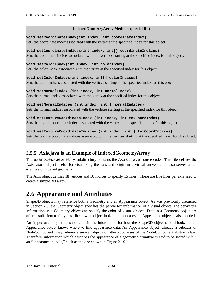### **IndexedGeometryArray Methods (partial list)**

<span id="page-39-0"></span>**void setCoordinateIndex(int index, int coordinateIndex)** Sets the coordinate index associated with the vertex at the specified index for this object.

**void setCoordinateIndices(int index, int[] coordinateIndices)** Sets the coordinate indices associated with the vertices starting at the specified index for this object.

**void setColorIndex(int index, int colorIndex)** Sets the color index associated with the vertex at the specified index for this object.

**void setColorIndices(int index, int[] colorIndices)** Sets the color indices associated with the vertices starting at the specified index for this object.

**void setNormalIndex (int index, int normalIndex)** Sets the normal index associated with the vertex at the specified index for this object.

**void setNormalIndices (int index, int[] normalIndices)** Sets the normal indices associated with the vertices starting at the specified index for this object.

**void setTextureCoordinateIndex (int index, int texCoordIndex)** Sets the texture coordinate index associated with the vertex at the specified index for this object.

**void setTextureCoordinateIndices (int index, int[] texCoordIndices)** Sets the texture coordinate indices associated with the vertices starting at the specified index for this object.

### **2.5.5 Axis.java is an Example of IndexedGeometryArray**

The examples/geometry subdirectory contains the Axis.java source code. This file defines the Axis visual object useful for visualizing the axis and origin in a virtual universe. It also serves as an example of indexed geometry.

The Axis object defines 18 vertices and 30 indices to specify 15 lines. There are five lines per axis used to create a simple 3D arrow.

# **2.6 Appearance and Attributes**

Shape3D objects may reference both a Geometry and an Appearance object. As was previously discussed in Section 2.5, the Geometry object specifies the per-vertex information of a visual object. The per-vertex information in a Geometry object can specify the color of visual objects. Data in a Geometry object are often insufficient to fully describe how an object looks. In most cases, an Appearance object is also needed.

An Appearance object does not contain the information for how the Shape3D object should look, but an Appearance object knows where to find appearance data. An Appearance object (already a subclass of NodeComponent) may reference several objects of other subclasses of the NodeComponent abstract class. Therefore, information which describes the appearance of a geometric primitive is said to be stored within an "appearance bundle," such as the one shown in Figure 2-19.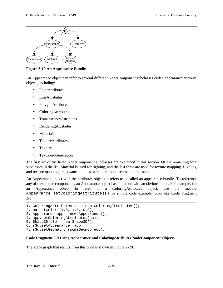

**Figure 2-19 An Appearance Bundle**

An Appearance object can refer to several different NodeComponent subclasses called appearance attribute objects, including:

- PointAttributes
- **LineAttributes**
- PolygonAttributes
- ColoringAttributes
- TransparencyAttributes
- RenderingAttributes
- Material
- TextureAttributes
- Texture
- TexCoordGeneration

The first six of the listed NodeComponent subclasses are explained in this section. Of the remaining four subclasses in the list, Material is used for lighting, and the last three are used for texture mapping. Lighting and texture mapping are advanced topics, which are not discussed in this section.

An Appearance object with the attributes objects it refers to is called an appearance bundle. To reference any of these node components, an Appearance object has a method with an obvious name. For example, for an Appearance object to refer to a ColoringAttributes object, use the method Appearance.setColoringAttributes(). A simple code example looks like Code Fragment  $2-9:$ 

```
1. ColoringAttributes ca = new ColoringAttributes();
2. ca.setColor (1.0, 1.0, 0.0);
3. Appearance app = new Appearance();
4. app.setColoringAttributes(ca);
5. Shape3D s3d = new Shape3D();
6. s3d.setAppearance (app);
7. s3d.setGeometry (someGeomObject);
```
### **Code Fragment 2-9 Using Appearance and ColoringAttributes NodeComponent Objects**

The scene graph that results from this code is shown in Figure 2-20.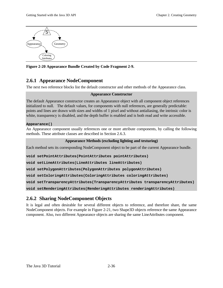

**Figure 2-20 Appearance Bundle Created by Code Fragment 2-9.**

### **2.6.1 Appearance NodeComponent**

The next two reference blocks list the default constructor and other methods of the Appearance class.

### **Appearance Constructor**

The default Appearance constructor creates an Appearance object with all component object references initialized to null. The default values, for components with null references, are generally predictable: points and lines are drawn with sizes and widths of 1 pixel and without antialiasing, the intrinsic color is white, transparency is disabled, and the depth buffer is enabled and is both read and write accessible.

### **Appearance()**

An Appearance component usually references one or more attribute components, by calling the following methods. These attribute classes are described in Section 2.6.3.

### **Appearance Methods (excluding lighting and texturing)**

Each method sets its corresponding NodeComponent object to be part of the current Appearance bundle.

**void setPointAttributes(PointAttributes pointAttributes)**

**void setLineAttributes(LineAttributes lineAttributes)**

**void setPolygonAttributes(PolygonAttributes polygonAttributes)**

**void setColoringAttributes(ColoringAttributes coloringAttributes)**

**void setTransparencyAttributes(TransparencyAttributes transparencyAttributes)**

**void setRenderingAttributes(RenderingAttributes renderingAttributes)**

### **2.6.2 Sharing NodeComponent Objects**

It is legal and often desirable for several different objects to reference, and therefore share, the same NodeComponent objects. For example in Figure 2-21, two Shape3D objects reference the same Appearance component. Also, two different Appearance objects are sharing the same LineAttributes component.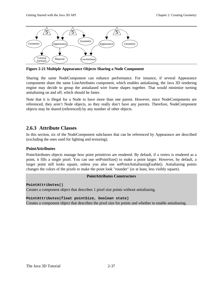

**Figure 2-21 Multiple Appearance Objects Sharing a Node Component**

Sharing the same NodeComponent can enhance performance. For instance, if several Appearance components share the same LineAttributes component, which enables antialiasing, the Java 3D rendering engine may decide to group the antialiased wire frame shapes together. That would minimize turning antialiasing on and off, which should be faster.

Note that it is illegal for a Node to have more than one parent. However, since NodeComponents are referenced, they aren't Node objects, so they really don't have any parents. Therefore, NodeComponent objects may be shared (referenced) by any number of other objects.

### **2.6.3 Attribute Classes**

In this section, six of the NodeComponent subclasses that can be referenced by Appearance are described (excluding the ones used for lighting and texturing).

### **PointAttributes**

PointAttributes objects manage how point primitives are rendered. By default, if a vertex is rendered as a point, it fills a single pixel. You can use setPointSize() to make a point larger. However, by default, a larger point still looks square, unless you also use setPointAntialiasingEnable(). Antialiasing points changes the colors of the pixels to make the point look "rounder" (or at least, less visibly square).

### **PointAttributes Constructors**

**PointAttributes()**

Creates a component object that describes 1 pixel size points without antialiasing.

**PointAttributes(float pointSize, boolean state)**

Creates a component object that describes the pixel size for points and whether to enable antialiasing.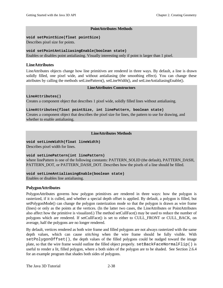### **PointAttributes Methods**

#### **void setPointSize(float pointSize)**

Describes pixel size for points.

**void setPointAntialiasingEnable(boolean state)** Enables or disables point antialiasing. Visually interesting only if point is larger than 1 pixel.

### **LineAttributes**

LineAttributes objects change how line primitives are rendered in three ways. By default, a line is drawn solidly filled, one pixel wide, and without antialiasing (the smoothing effect). You can change these attributes by calling the methods setLinePattern(), setLineWidth(), and setLineAntialiasingEnable().

### **LineAttributes Constructors**

### **LineAttributes()**

Creates a component object that describes 1 pixel wide, solidly filled lines without antialiasing.

### **LineAttributes(float pointSize, int linePattern, boolean state)**

Creates a component object that describes the pixel size for lines, the pattern to use for drawing, and whether to enable antialiasing.

### **LineAttributes Methods**

**void setLineWidth(float lineWidth)**

Describes pixel width for lines.

### **void setLinePattern(int linePattern)**

where linePattern is one of the following constants: PATTERN\_SOLID (the default), PATTERN\_DASH, PATTERN\_DOT, or PATTERN\_DASH\_DOT. Describes how the pixels of a line should be filled.

### **void setLineAntialiasingEnable(boolean state)**

Enables or disables line antialiasing.

### **PolygonAttributes**

PolygonAttributes governs how polygon primitives are rendered in three ways: how the polygon is rasterized, if it is culled, and whether a special depth offset is applied. By default, a polygon is filled, but setPolygonMode() can change the polygon rasterization mode so that the polygon is drawn as wire frame (lines) or only as the points at the vertices. (In the latter two cases, the LineAttributes or PointAttributes also affect how the primitive is visualized.) The method setCullFace() may be used to reduce the number of polygons which are rendered. If setCullFace() is set to either to CULL\_FRONT or CULL\_BACK, on average, half the polygons are no longer rendered.

By default, vertices rendered as both wire frame and filled polygons are not always rasterized with the same depth values, which can cause *stitching* when the wire frame should be fully visible. With setPolygonOffset(), the depth values of the filled polygons could be nudged toward the image plate, so that the wire frame would outline the filled object properly.  $setBackFaceNormalFlip()$  is useful to render a lit, filled polygon, where a both sides of the polygon are to be shaded. See Section 2.6.4 for an example program that shades both sides of polygons.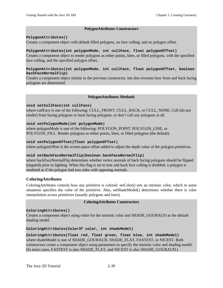### **PolygonAttributes Constructors**

### **PolygonAttributes()**

Creates a component object with default filled polygons, no face culling, and no polygon offset.

### **PolygonAttributes(int polygonMode, int cullFace, float polygonOffset)**

Creates a component object to render polygons as either points, lines, or filled polygons, with the specified face culling, and the specified polygon offset.

### **PolygonAttributes(int polygonMode, int cullFace, float polygonOffset, boolean backFaceNormalFlip)**

Creates a component object similar to the previous constructor, but also reverses how front and back facing polygons are determined.

### **PolygonAttributes Methods**

### **void setCullFace(int cullFace)**

where cullFace is one of the following: CULL\_FRONT, CULL\_BACK, or CULL\_NONE. Cull (do not render) front facing polygons or back facing polygons, or don't cull any polygons at all.

### **void setPolygonMode(int polygonMode)**

where polygonMode is one of the following: POLYGON POINT, POLYGON LINE, or POLYGON\_FILL. Render polygons as either points, lines, or filled polygons (the default).

### **void setPolygonOffset(float polygonOffset)**

where polygonOffset is the screen-space offset added to adjust the depth value of the polygon primitives.

#### **void setBackFaceNormalFlip(boolean backFaceNormalFlip)**

where backFaceNormalFlip determines whether vertex normals of back facing polygons should be flipped (negated) prior to lighting. When this flag is set to true and back face culling is disabled, a polygon is rendered as if the polygon had two sides with opposing normals.

### **ColoringAttributes**

ColoringAttributes controls how any primitive is colored. setColor() sets an intrinsic color, which in some situations specifies the color of the primitive. Also, setShadeModel() determines whether there is color interpolation across primitives (usually polygons and lines).

#### **ColoringAttributes Constructors**

### **ColoringAttributes()**

Creates a component object using white for the intrinsic color and SHADE\_GOURAUD as the default shading model.

**ColoringAttributes(Color3f color, int shadeModel)**

**ColoringAttributes(float red, float green, float blue, int shadeModel)** where shadeModel is one of SHADE\_GOURAUD, SHADE\_FLAT, FASTEST, or NICEST. Both constructors create a component object using parameters to specify the intrinsic color and shading model. (In most cases, FASTEST is also SHADE\_FLAT, and NICEST is also SHADE\_GOURAUD.)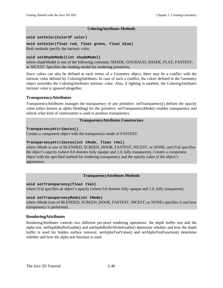### **ColoringAttributes Methods**

**void setColor(Color3f color)**

**void setColor(float red, float green, float blue)** Both methods specify the intrinsic color.

### **void setShadeModel(int shadeModel)**

where shadeModel is one of the following constants: SHADE\_GOURAUD, SHADE\_FLAT, FASTEST, or NICEST. Specifies the shading model for rendering primitives.

Since colors can also be defined at each vertex of a Geometry object, there may be a conflict with the intrinsic color defined by ColoringAttributes. In case of such a conflict, the colors defined in the Geometry object overrides the ColoringAttributes intrinsic color. Also, if lighting is enabled, the ColoringAttributes intrinsic color is ignored altogether.

### **TransparencyAttributes**

TransparencyAttributes manages the transparency of any primitive. setTransparency() defines the opacity value (often known as alpha blending) for the primitive. setTransparencyMode() enables transparency and selects what kind of rasterization is used to produce transparency.

### **TransparencyAttributes Constructors**

### **TransparencyAttributes()**

Creates a component object with the transparency mode of FASTEST.

### **TransparencyAttributes(int tMode, float tVal)**

where tMode is one of BLENDED, SCREEN\_DOOR, FASTEST, NICEST, or NONE, and tVal specifies the object's opacity (where 0.0 denotes fully opaque and 1.0, fully transparent). Creates a component object with the specified method for rendering transparency and the opacity value of the object's appearance.

### **TransparencyAttributes Methods**

#### **void setTransparency(float tVal)**

where tVal specifies an object's opacity (where 0.0 denotes fully opaque and 1.0, fully transparent).

### **void setTransparencyMode(int tMode)**

where tMode (one of BLENDED, SCREEN DOOR, FASTEST, NICEST, or NONE) specifies if and how transparency is performed.

### **RenderingAttributes**

RenderingAttributes controls two different per-pixel rendering operations: the depth buffer test and the alpha test. setDepthBufferEnable() and setDepthBufferWriteEnable() determine whether and how the depth buffer is used for hidden surface removal. setAlphaTestValue() and setAlphaTestFunction() determine whether and how the alpha test function is used.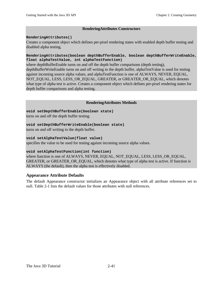### **RenderingAttributes Constructors**

### **RenderingAttributes()**

Creates a component object which defines per-pixel rendering states with enabled depth buffer testing and disabled alpha testing.

### **RenderingAttributes(boolean depthBufferEnable, boolean depthBufferWriteEnable, float alphaTestValue, int alphaTestFunction)**

where depthBufferEnable turns on and off the depth buffer comparisons (depth testing), depthBufferWriteEnable turns on and off writing to the depth buffer, alphaTestValue is used for testing against incoming source alpha values, and alphaTestFunction is one of ALWAYS, NEVER, EQUAL, NOT\_EQUAL, LESS, LESS\_OR\_EQUAL, GREATER, or GREATER\_OR\_EQUAL, which denotes what type of alpha test is active. Creates a component object which defines per-pixel rendering states for depth buffer comparisons and alpha testing.

### **RenderingAttributes Methods**

### **void setDepthBufferEnable(boolean state)**

turns on and off the depth buffer testing.

### **void setDepthBufferWriteEnable(boolean state)**

turns on and off writing to the depth buffer.

### **void setAlphaTestValue(float value)**

specifies the value to be used for testing against incoming source alpha values.

### **void setAlphaTestFunction(int function)**

where function is one of ALWAYS, NEVER, EQUAL, NOT\_EQUAL, LESS, LESS\_OR\_EQUAL, GREATER, or GREATER OR EQUAL, which denotes what type of alpha test is active. If function is ALWAYS (the default), then the alpha test is effectively disabled.

### **Appearance Attribute Defaults**

The default Appearance constructor initializes an Appearance object with all attribute references set to null. Table 2-1 lists the default values for those attributes with null references.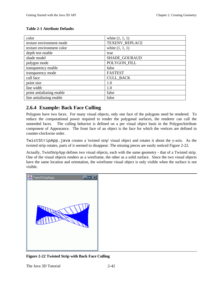### **Table 2-1 Attribute Defaults**

| color                     | white $(1, 1, 1)$     |
|---------------------------|-----------------------|
| texture environment mode  | <b>TEXENV_REPLACE</b> |
| texture environment color | white $(1, 1, 1)$     |
| depth test enable         | true                  |
| shade model               | SHADE_GOURAUD         |
| polygon mode              | POLYGON_FILL          |
| transparency enable       | false                 |
| transparency mode         | <b>FASTEST</b>        |
| cull face                 | <b>CULL_BACK</b>      |
| point size                | 1.0                   |
| line width                | 1.0                   |
| point antialiasing enable | false                 |
| line antialiasing enable  | false                 |

### **2.6.4 Example: Back Face Culling**

Polygons have two faces. For many visual objects, only one face of the polygons need be rendered. To reduce the computational power required to render the polygonal surfaces, the renderer can cull the unneeded faces. The culling behavior is defined on a per visual object basis in the PolygonAttribute component of Appearance. The front face of an object is the face for which the vertices are defined in counter-clockwise order.

TwistStripApp.java creates a 'twisted strip' visual object and rotates it about the y-axis. As the twisted strip rotates, parts of it seemed to disappear. The missing pieces are easily noticed Figure 2-22.

Actually, TwistStripApp defines two visual objects, each with the same geometry - that of a Twisted strip. One of the visual objects renders as a wireframe, the other as a solid surface. Since the two visual objects have the same location and orientation, the wireframe visual object is only visible when the surface is not visible.



**Figure 2-22 Twisted Strip with Back Face Culling**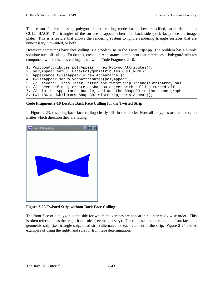The reason for the missing polygons is the culling mode hasn't been specified, so it defaults to CULL\_BACK. The triangles of the surface disappear when their back side (back face) face the image plate. This is a feature that allows the rendering system to ignore rendering triangle surfaces that are unnecessary, unwanted, or both.

However, sometimes back face culling is a problem, as in the TwistStripApp. The problem has a simple solution: turn off culling. To do this, create an Appearance component that references a PolygonAttributes component which disables culling, as shown in Code Fragment 2-10.

```
1. PolygonAttributes polyAppear = new PolygonAttributes();
2. polyAppear.setCullFace(PolygonAttributes.CULL_NONE);
3. Appearance twistAppear = new Appearance();
4. twistAppear.setPolygonAttributes(polyAppear);
5. // several lines later, after the twistStrip TriangleStripArray has
6. // been defined, create a Shape3D object with culling turned off
7. // in the Appearance bundle, and add the Shape3D to the scene graph
8. twistBG.addChild(new Shape3D(twistStrip, twistAppear));
```
### **Code Fragment 2-10 Disable Back Face Culling for the Twisted Strip**

In Figure 2-23, disabling back face culling clearly fills in the cracks. Now all polygons are rendered, no matter which direction they are facing.



**Figure 2-23 Twisted Strip without Back Face Culling**

The front face of a polygon is the side for which the vertices are appear in counter-clock wise order. This is often referred to as the "right-hand rule" (see the glossary). The rule used to determine the front face of a geometric strip (i.e., triangle strip, quad strip) alternates for each element in the strip. Figure 2-24 shows examples of using the right-hand rule for front face determination.